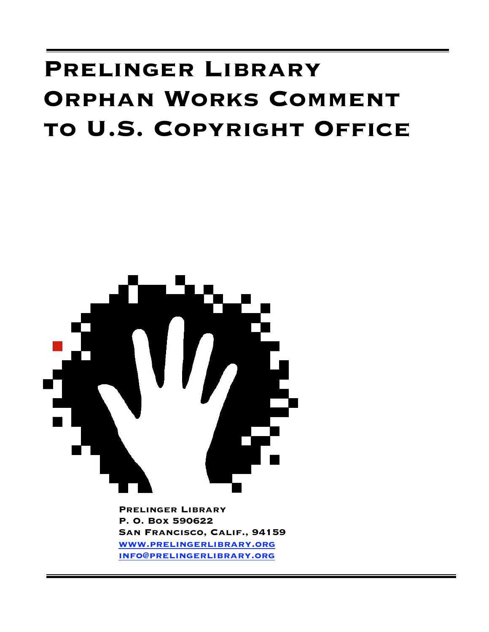# **Prelinger Library Orphan Works Comment to U.S. Copyright Office**



**Prelinger Library P. O. Box 590622 San Francisco, Calif., 94159 www.prelingerlibrary.org info@prelingerlibrary.org**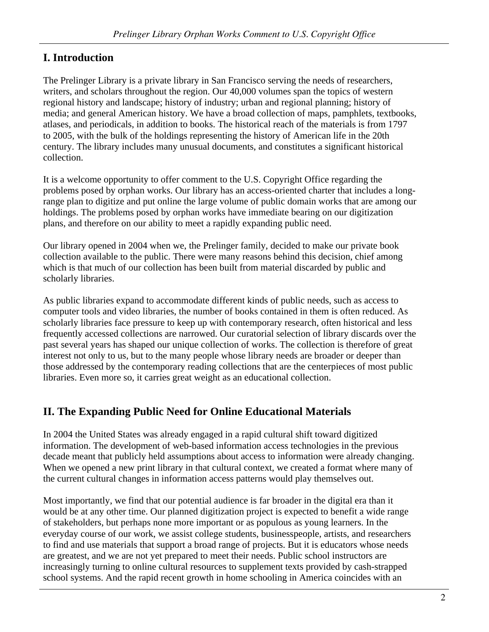#### **I. Introduction**

The Prelinger Library is a private library in San Francisco serving the needs of researchers, writers, and scholars throughout the region. Our 40,000 volumes span the topics of western regional history and landscape; history of industry; urban and regional planning; history of media; and general American history. We have a broad collection of maps, pamphlets, textbooks, atlases, and periodicals, in addition to books. The historical reach of the materials is from 1797 to 2005, with the bulk of the holdings representing the history of American life in the 20th century. The library includes many unusual documents, and constitutes a significant historical collection.

It is a welcome opportunity to offer comment to the U.S. Copyright Office regarding the problems posed by orphan works. Our library has an access-oriented charter that includes a longrange plan to digitize and put online the large volume of public domain works that are among our holdings. The problems posed by orphan works have immediate bearing on our digitization plans, and therefore on our ability to meet a rapidly expanding public need.

Our library opened in 2004 when we, the Prelinger family, decided to make our private book collection available to the public. There were many reasons behind this decision, chief among which is that much of our collection has been built from material discarded by public and scholarly libraries.

As public libraries expand to accommodate different kinds of public needs, such as access to computer tools and video libraries, the number of books contained in them is often reduced. As scholarly libraries face pressure to keep up with contemporary research, often historical and less frequently accessed collections are narrowed. Our curatorial selection of library discards over the past several years has shaped our unique collection of works. The collection is therefore of great interest not only to us, but to the many people whose library needs are broader or deeper than those addressed by the contemporary reading collections that are the centerpieces of most public libraries. Even more so, it carries great weight as an educational collection.

### **II. The Expanding Public Need for Online Educational Materials**

In 2004 the United States was already engaged in a rapid cultural shift toward digitized information. The development of web-based information access technologies in the previous decade meant that publicly held assumptions about access to information were already changing. When we opened a new print library in that cultural context, we created a format where many of the current cultural changes in information access patterns would play themselves out.

Most importantly, we find that our potential audience is far broader in the digital era than it would be at any other time. Our planned digitization project is expected to benefit a wide range of stakeholders, but perhaps none more important or as populous as young learners. In the everyday course of our work, we assist college students, businesspeople, artists, and researchers to find and use materials that support a broad range of projects. But it is educators whose needs are greatest, and we are not yet prepared to meet their needs. Public school instructors are increasingly turning to online cultural resources to supplement texts provided by cash-strapped school systems. And the rapid recent growth in home schooling in America coincides with an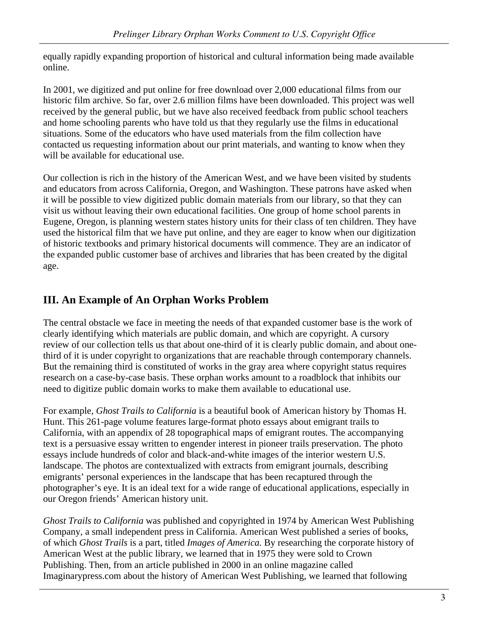equally rapidly expanding proportion of historical and cultural information being made available online.

In 2001, we digitized and put online for free download over 2,000 educational films from our historic film archive. So far, over 2.6 million films have been downloaded. This project was well received by the general public, but we have also received feedback from public school teachers and home schooling parents who have told us that they regularly use the films in educational situations. Some of the educators who have used materials from the film collection have contacted us requesting information about our print materials, and wanting to know when they will be available for educational use.

Our collection is rich in the history of the American West, and we have been visited by students and educators from across California, Oregon, and Washington. These patrons have asked when it will be possible to view digitized public domain materials from our library, so that they can visit us without leaving their own educational facilities. One group of home school parents in Eugene, Oregon, is planning western states history units for their class of ten children. They have used the historical film that we have put online, and they are eager to know when our digitization of historic textbooks and primary historical documents will commence. They are an indicator of the expanded public customer base of archives and libraries that has been created by the digital age.

## **III. An Example of An Orphan Works Problem**

The central obstacle we face in meeting the needs of that expanded customer base is the work of clearly identifying which materials are public domain, and which are copyright. A cursory review of our collection tells us that about one-third of it is clearly public domain, and about onethird of it is under copyright to organizations that are reachable through contemporary channels. But the remaining third is constituted of works in the gray area where copyright status requires research on a case-by-case basis. These orphan works amount to a roadblock that inhibits our need to digitize public domain works to make them available to educational use.

For example, *Ghost Trails to California* is a beautiful book of American history by Thomas H. Hunt. This 261-page volume features large-format photo essays about emigrant trails to California, with an appendix of 28 topographical maps of emigrant routes. The accompanying text is a persuasive essay written to engender interest in pioneer trails preservation. The photo essays include hundreds of color and black-and-white images of the interior western U.S. landscape. The photos are contextualized with extracts from emigrant journals, describing emigrants' personal experiences in the landscape that has been recaptured through the photographer's eye. It is an ideal text for a wide range of educational applications, especially in our Oregon friends' American history unit.

*Ghost Trails to California* was published and copyrighted in 1974 by American West Publishing Company, a small independent press in California. American West published a series of books, of which *Ghost Trails* is a part, titled *Images of America.* By researching the corporate history of American West at the public library, we learned that in 1975 they were sold to Crown Publishing. Then, from an article published in 2000 in an online magazine called Imaginarypress.com about the history of American West Publishing, we learned that following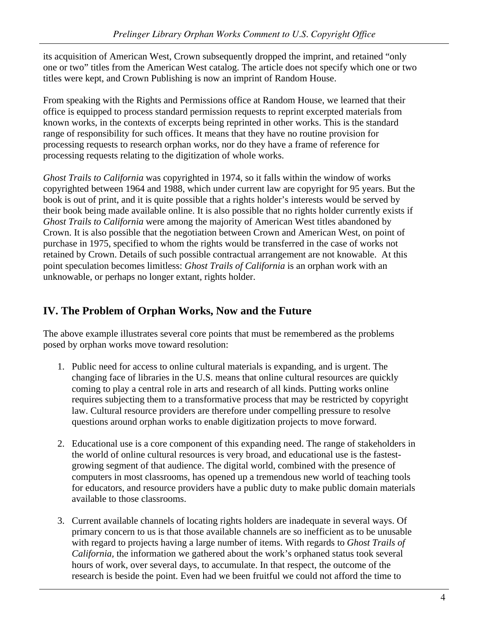its acquisition of American West, Crown subsequently dropped the imprint, and retained "only one or two" titles from the American West catalog. The article does not specify which one or two titles were kept, and Crown Publishing is now an imprint of Random House.

From speaking with the Rights and Permissions office at Random House, we learned that their office is equipped to process standard permission requests to reprint excerpted materials from known works, in the contexts of excerpts being reprinted in other works. This is the standard range of responsibility for such offices. It means that they have no routine provision for processing requests to research orphan works, nor do they have a frame of reference for processing requests relating to the digitization of whole works.

*Ghost Trails to California* was copyrighted in 1974, so it falls within the window of works copyrighted between 1964 and 1988, which under current law are copyright for 95 years. But the book is out of print, and it is quite possible that a rights holder's interests would be served by their book being made available online. It is also possible that no rights holder currently exists if *Ghost Trails to California* were among the majority of American West titles abandoned by Crown. It is also possible that the negotiation between Crown and American West, on point of purchase in 1975, specified to whom the rights would be transferred in the case of works not retained by Crown. Details of such possible contractual arrangement are not knowable. At this point speculation becomes limitless: *Ghost Trails of California* is an orphan work with an unknowable, or perhaps no longer extant, rights holder.

#### **IV. The Problem of Orphan Works, Now and the Future**

The above example illustrates several core points that must be remembered as the problems posed by orphan works move toward resolution:

- 1. Public need for access to online cultural materials is expanding, and is urgent. The changing face of libraries in the U.S. means that online cultural resources are quickly coming to play a central role in arts and research of all kinds. Putting works online requires subjecting them to a transformative process that may be restricted by copyright law. Cultural resource providers are therefore under compelling pressure to resolve questions around orphan works to enable digitization projects to move forward.
- 2. Educational use is a core component of this expanding need. The range of stakeholders in the world of online cultural resources is very broad, and educational use is the fastestgrowing segment of that audience. The digital world, combined with the presence of computers in most classrooms, has opened up a tremendous new world of teaching tools for educators, and resource providers have a public duty to make public domain materials available to those classrooms.
- 3. Current available channels of locating rights holders are inadequate in several ways. Of primary concern to us is that those available channels are so inefficient as to be unusable with regard to projects having a large number of items. With regards to *Ghost Trails of California,* the information we gathered about the work's orphaned status took several hours of work, over several days, to accumulate. In that respect, the outcome of the research is beside the point. Even had we been fruitful we could not afford the time to